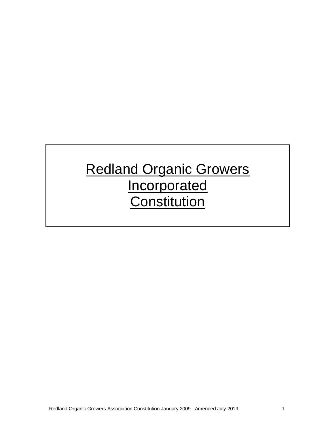# Redland Organic Growers **Incorporated Constitution**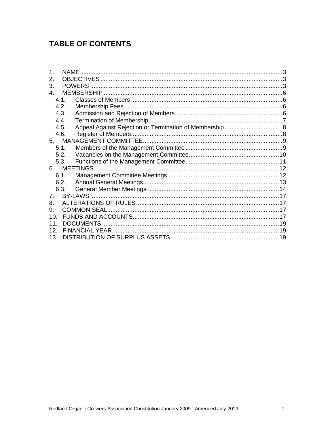# **TABLE OF CONTENTS**

| 3.              |      |  |  |
|-----------------|------|--|--|
| $\overline{4}$  |      |  |  |
|                 | 4.1  |  |  |
|                 | 4.2. |  |  |
|                 | 4.3. |  |  |
|                 | 4.4. |  |  |
|                 | 4.5. |  |  |
|                 | 4.6. |  |  |
| 5.              |      |  |  |
|                 | 5.1. |  |  |
|                 | 5.2. |  |  |
|                 | 5.3. |  |  |
| MEETINGS<br>6.  |      |  |  |
|                 | 6.1. |  |  |
|                 | 6.2. |  |  |
|                 | 6.3. |  |  |
| $7_{-}$         |      |  |  |
| 8.              |      |  |  |
| 9.              |      |  |  |
| 10 <sub>1</sub> |      |  |  |
| 11 <sub>1</sub> |      |  |  |
| 12 <sub>1</sub> |      |  |  |
| 13.             |      |  |  |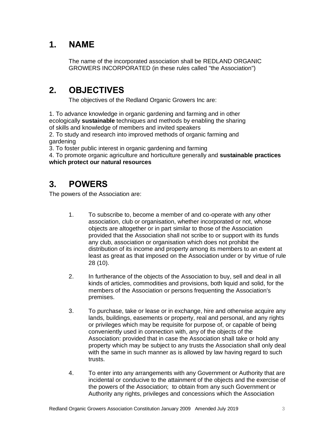### **1. NAME**

The name of the incorporated association shall be REDLAND ORGANIC GROWERS INCORPORATED (in these rules called "the Association")

# **2. OBJECTIVES**

The objectives of the Redland Organic Growers Inc are:

1. To advance knowledge in organic gardening and farming and in other ecologically **sustainable** techniques and methods by enabling the sharing of skills and knowledge of members and invited speakers

2. To study and research into improved methods of organic farming and gardening

3. To foster public interest in organic gardening and farming

4. To promote organic agriculture and horticulture generally and **sustainable practices which protect our natural resources**

### **3. POWERS**

The powers of the Association are:

- 1. To subscribe to, become a member of and co-operate with any other association, club or organisation, whether incorporated or not, whose objects are altogether or in part similar to those of the Association provided that the Association shall not scribe to or support with its funds any club, association or organisation which does not prohibit the distribution of its income and property among its members to an extent at least as great as that imposed on the Association under or by virtue of rule 28 (10).
- 2. In furtherance of the objects of the Association to buy, sell and deal in all kinds of articles, commodities and provisions, both liquid and solid, for the members of the Association or persons frequenting the Association's premises.
- 3. To purchase, take or lease or in exchange, hire and otherwise acquire any lands, buildings, easements or property, real and personal, and any rights or privileges which may be requisite for purpose of, or capable of being conveniently used in connection with, any of the objects of the Association: provided that in case the Association shall take or hold any property which may be subject to any trusts the Association shall only deal with the same in such manner as is allowed by law having regard to such trusts.
- 4. To enter into any arrangements with any Government or Authority that are incidental or conducive to the attainment of the objects and the exercise of the powers of the Association; to obtain from any such Government or Authority any rights, privileges and concessions which the Association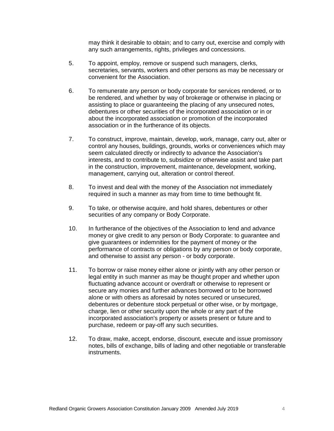may think it desirable to obtain; and to carry out, exercise and comply with any such arrangements, rights, privileges and concessions.

- 5. To appoint, employ, remove or suspend such managers, clerks, secretaries, servants, workers and other persons as may be necessary or convenient for the Association.
- 6. To remunerate any person or body corporate for services rendered, or to be rendered, and whether by way of brokerage or otherwise in placing or assisting to place or guaranteeing the placing of any unsecured notes, debentures or other securities of the incorporated association or in or about the incorporated association or promotion of the incorporated association or in the furtherance of its objects.
- 7. To construct, improve, maintain, develop, work, manage, carry out, alter or control any houses, buildings, grounds, works or conveniences which may seem calculated directly or indirectly to advance the Association's interests, and to contribute to, subsidize or otherwise assist and take part in the construction, improvement, maintenance, development, working, management, carrying out, alteration or control thereof.
- 8. To invest and deal with the money of the Association not immediately required in such a manner as may from time to time bethought fit.
- 9. To take, or otherwise acquire, and hold shares, debentures or other securities of any company or Body Corporate.
- 10. In furtherance of the objectives of the Association to lend and advance money or give credit to any person or Body Corporate: to guarantee and give guarantees or indemnities for the payment of money or the performance of contracts or obligations by any person or body corporate, and otherwise to assist any person - or body corporate.
- 11. To borrow or raise money either alone or jointly with any other person or legal entity in such manner as may be thought proper and whether upon fluctuating advance account or overdraft or otherwise to represent or secure any monies and further advances borrowed or to be borrowed alone or with others as aforesaid by notes secured or unsecured, debentures or debenture stock perpetual or other wise, or by mortgage, charge, lien or other security upon the whole or any part of the incorporated association's property or assets present or future and to purchase, redeem or pay-off any such securities.
- 12. To draw, make, accept, endorse, discount, execute and issue promissory notes, bills of exchange, bills of lading and other negotiable or transferable instruments.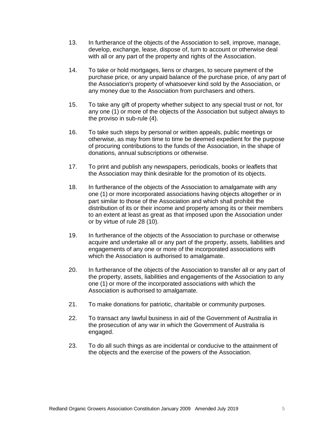- 13. In furtherance of the objects of the Association to sell, improve, manage, develop, exchange, lease, dispose of, turn to account or otherwise deal with all or any part of the property and rights of the Association.
- 14. To take or hold mortgages, liens or charges, to secure payment of the purchase price, or any unpaid balance of the purchase price, of any part of the Association's property of whatsoever kind sold by the Association, or any money due to the Association from purchasers and others.
- 15. To take any gift of property whether subject to any special trust or not, for any one (1) or more of the objects of the Association but subject always to the proviso in sub-rule (4).
- 16. To take such steps by personal or written appeals, public meetings or otherwise, as may from time to time be deemed expedient for the purpose of procuring contributions to the funds of the Association, in the shape of donations, annual subscriptions or otherwise.
- 17. To print and publish any newspapers, periodicals, books or leaflets that the Association may think desirable for the promotion of its objects.
- 18. In furtherance of the objects of the Association to amalgamate with any one (1) or more incorporated associations having objects altogether or in part similar to those of the Association and which shall prohibit the distribution of its or their income and property among its or their members to an extent at least as great as that imposed upon the Association under or by virtue of rule 28 (10).
- 19. In furtherance of the objects of the Association to purchase or otherwise acquire and undertake all or any part of the property, assets, liabilities and engagements of any one or more of the incorporated associations with which the Association is authorised to amalgamate.
- 20. In furtherance of the objects of the Association to transfer all or any part of the property, assets, liabilities and engagements of the Association to any one (1) or more of the incorporated associations with which the Association is authorised to amalgamate.
- 21. To make donations for patriotic, charitable or community purposes.
- 22. To transact any lawful business in aid of the Government of Australia in the prosecution of any war in which the Government of Australia is engaged.
- 23. To do all such things as are incidental or conducive to the attainment of the objects and the exercise of the powers of the Association.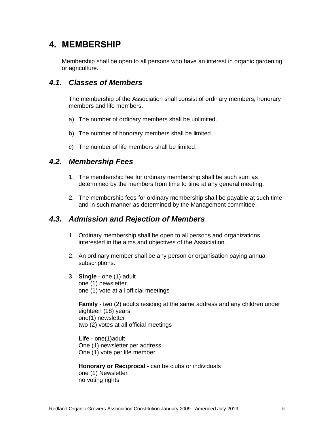### **4. MEMBERSHIP**

Membership shall be open to all persons who have an interest in organic gardening or agriculture.

#### *4.1. Classes of Members*

The membership of the Association shall consist of ordinary members, honorary members and life members.

- a) The number of ordinary members shall be unlimited.
- b) The number of honorary members shall be limited.
- c) The number of life members shall be limited.

#### *4.2. Membership Fees*

- 1. The membership fee for ordinary membership shall be such sum as determined by the members from time to time at any general meeting.
- 2. The membership fees for ordinary membership shall be payable at such time and in such manner as determined by the Management committee.

#### *4.3. Admission and Rejection of Members*

- 1. Ordinary membership shall be open to all persons and organizations interested in the aims and objectives of the Association.
- 2. An ordinary member shall be any person or organisation paying annual subscriptions.
- 3. **Single** one (1) adult one (1) newsletter one (1) vote at all official meetings

**Family** - two (2) adults residing at the same address and any children under eighteen (18) years one(1) newsletter two (2) votes at all official meetings

**Life** - one(1)adult One (1) newsletter per address One (1) vote per life member

**Honorary or Reciprocal** - can be clubs or individuals one (1) Newsletter no voting rights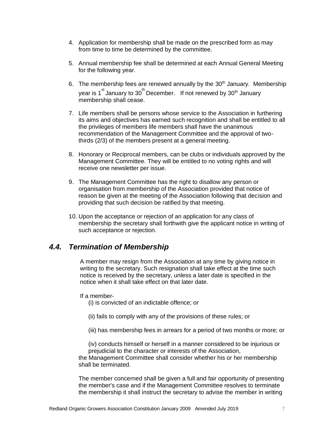- 4. Application for membership shall be made on the prescribed form as may from time to time be determined by the committee.
- 5. Annual membership fee shall be determined at each Annual General Meeting for the following year.
- 6. The membership fees are renewed annually by the  $30<sup>th</sup>$  January. Membership year is 1<sup>st</sup> January to 30<sup>th</sup> December. If not renewed by 30<sup>th</sup> January membership shall cease.
- 7. Life members shall be persons whose service to the Association in furthering its aims and objectives has earned such recognition and shall be entitled to all the privileges of members life members shall have the unanimous recommendation of the Management Committee and the approval of twothirds (2/3) of the members present at a general meeting.
- 8. Honorary or Reciprocal members, can be clubs or individuals approved by the Management Committee. They will be entitled to no voting rights and will receive one newsletter per issue.
- 9. The Management Committee has the right to disallow any person or organisation from membership of the Association provided that notice of reason be given at the meeting of the Association following that decision and providing that such decision be ratified by that meeting.
- 10. Upon the acceptance or rejection of an application for any class of membership the secretary shall forthwith give the applicant notice in writing of such acceptance or rejection.

#### *4.4. Termination of Membership*

A member may resign from the Association at any time by giving notice in writing to the secretary. Such resignation shall take effect at the time such notice is received by the secretary, unless a later date is specified in the notice when it shall take effect on that later date.

#### If a member-

(i) is convicted of an indictable offence; or

- (ii) fails to comply with any of the provisions of these rules; or
- (iii) has membership fees in arrears for a period of two months or more; or

(iv) conducts himself or herself in a manner considered to be injurious or prejudicial to the character or interests of the Association,

the Management Committee shall consider whether his or her membership shall be terminated.

The member concerned shall be given a full and fair opportunity of presenting the member's case and if the Management Committee resolves to terminate the membership it shall instruct the secretary to advise the member in writing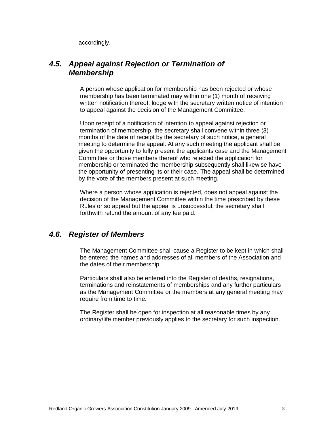accordingly.

#### *4.5. Appeal against Rejection or Termination of Membership*

A person whose application for membership has been rejected or whose membership has been terminated may within one (1) month of receiving written notification thereof, lodge with the secretary written notice of intention to appeal against the decision of the Management Committee.

Upon receipt of a notification of intention to appeal against rejection or termination of membership, the secretary shall convene within three (3) months of the date of receipt by the secretary of such notice, a general meeting to determine the appeal. At any such meeting the applicant shall be given the opportunity to fully present the applicants case and the Management Committee or those members thereof who rejected the application for membership or terminated the membership subsequently shall likewise have the opportunity of presenting its or their case. The appeal shall be determined by the vote of the members present at such meeting.

Where a person whose application is rejected, does not appeal against the decision of the Management Committee within the time prescribed by these Rules or so appeal but the appeal is unsuccessful, the secretary shall forthwith refund the amount of any fee paid.

#### *4.6. Register of Members*

The Management Committee shall cause a Register to be kept in which shall be entered the names and addresses of all members of the Association and the dates of their membership.

Particulars shall also be entered into the Register of deaths, resignations, terminations and reinstatements of memberships and any further particulars as the Management Committee or the members at any general meeting may require from time to time.

The Register shall be open for inspection at all reasonable times by any ordinary/life member previously applies to the secretary for such inspection.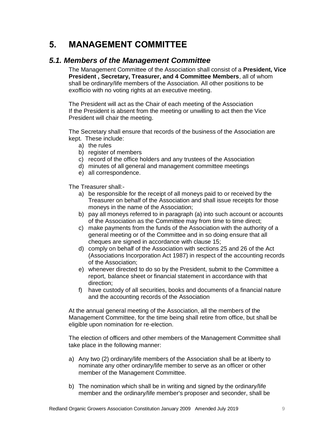### **5. MANAGEMENT COMMITTEE**

#### *5.1. Members of the Management Committee*

The Management Committee of the Association shall consist of a **President, Vice President , Secretary, Treasurer, and 4 Committee Members**, all of whom shall be ordinary/life members of the Association. All other positions to be exofficio with no voting rights at an executive meeting.

The President will act as the Chair of each meeting of the Association If the President is absent from the meeting or unwilling to act then the Vice President will chair the meeting.

The Secretary shall ensure that records of the business of the Association are kept. These include:

- a) the rules
- b) register of members
- c) record of the office holders and any trustees of the Association
- d) minutes of all general and management committee meetings
- e) all correspondence.

The Treasurer shall:-

- a) be responsible for the receipt of all moneys paid to or received by the Treasurer on behalf of the Association and shall issue receipts for those moneys in the name of the Association;
- b) pay all moneys referred to in paragraph (a) into such account or accounts of the Association as the Committee may from time to time direct;
- c) make payments from the funds of the Association with the authority of a general meeting or of the Committee and in so doing ensure that all cheques are signed in accordance with clause 15;
- d) comply on behalf of the Association with sections 25 and 26 of the Act (Associations Incorporation Act 1987) in respect of the accounting records of the Association;
- e) whenever directed to do so by the President, submit to the Committee a report, balance sheet or financial statement in accordance with that direction;
- f) have custody of all securities, books and documents of a financial nature and the accounting records of the Association

At the annual general meeting of the Association, all the members of the Management Committee, for the time being shall retire from office, but shall be eligible upon nomination for re-election.

The election of officers and other members of the Management Committee shall take place in the following manner:

- a) Any two (2) ordinary/life members of the Association shall be at liberty to nominate any other ordinary/life member to serve as an officer or other member of the Management Committee.
- b) The nomination which shall be in writing and signed by the ordinary/life member and the ordinary/life member's proposer and seconder, shall be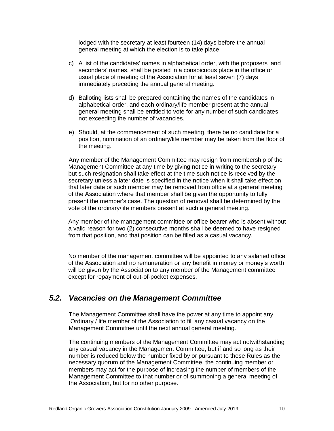lodged with the secretary at least fourteen (14) days before the annual general meeting at which the election is to take place.

- c) A list of the candidates' names in alphabetical order, with the proposers' and seconders' names, shall be posted in a conspicuous place in the office or usual place of meeting of the Association for at least seven (7) days immediately preceding the annual general meeting.
- d) Balloting lists shall be prepared containing the names of the candidates in alphabetical order, and each ordinary/life member present at the annual general meeting shall be entitled to vote for any number of such candidates not exceeding the number of vacancies.
- e) Should, at the commencement of such meeting, there be no candidate for a position, nomination of an ordinary/life member may be taken from the floor of the meeting.

Any member of the Management Committee may resign from membership of the Management Committee at any time by giving notice in writing to the secretary but such resignation shall take effect at the time such notice is received by the secretary unless a later date is specified in the notice when it shall take effect on that later date or such member may be removed from office at a general meeting of the Association where that member shall be given the opportunity to fully present the member's case. The question of removal shall be determined by the vote of the ordinary/life members present at such a general meeting.

Any member of the management committee or office bearer who is absent without a valid reason for two (2) consecutive months shall be deemed to have resigned from that position, and that position can be filled as a casual vacancy.

No member of the management committee will be appointed to any salaried office of the Association and no remuneration or any benefit in money or money's worth will be given by the Association to any member of the Management committee except for repayment of out-of-pocket expenses.

#### *5.2. Vacancies on the Management Committee*

The Management Committee shall have the power at any time to appoint any Ordinary / life member of the Association to fill any casual vacancy on the Management Committee until the next annual general meeting.

The continuing members of the Management Committee may act notwithstanding any casual vacancy in the Management Committee, but if and so long as their number is reduced below the number fixed by or pursuant to these Rules as the necessary quorum of the Management Committee, the continuing member or members may act for the purpose of increasing the number of members of the Management Committee to that number or of summoning a general meeting of the Association, but for no other purpose.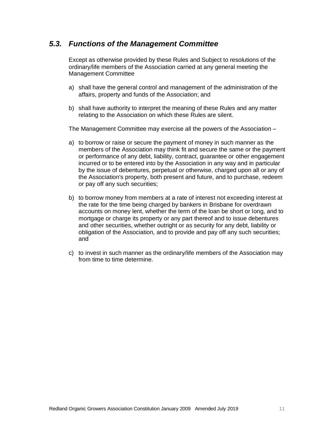#### *5.3. Functions of the Management Committee*

Except as otherwise provided by these Rules and Subject to resolutions of the ordinary/life members of the Association carried at any general meeting the Management Committee

- a) shall have the general control and management of the administration of the affairs, property and funds of the Association; and
- b) shall have authority to interpret the meaning of these Rules and any matter relating to the Association on which these Rules are silent.

The Management Committee may exercise all the powers of the Association –

- a) to borrow or raise or secure the payment of money in such manner as the members of the Association may think fit and secure the same or the payment or performance of any debt, liability, contract, guarantee or other engagement incurred or to be entered into by the Association in any way and in particular by the issue of debentures, perpetual or otherwise, charged upon all or any of the Association's property, both present and future, and to purchase, redeem or pay off any such securities;
- b) to borrow money from members at a rate of interest not exceeding interest at the rate for the time being charged by bankers in Brisbane for overdrawn accounts on money lent, whether the term of the loan be short or long, and to mortgage or charge its property or any part thereof and to issue debentures and other securities, whether outright or as security for any debt, liability or obligation of the Association, and to provide and pay off any such securities; and
- c) to invest in such manner as the ordinary/life members of the Association may from time to time determine.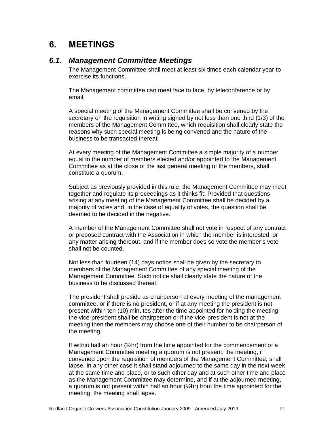### **6. MEETINGS**

#### *6.1. Management Committee Meetings*

The Management Committee shall meet at least six times each calendar year to exercise its functions.

The Management committee can meet face to face, by teleconference or by email.

A special meeting of the Management Committee shall be convened by the secretary on the requisition in writing signed by not less than one third (1/3) of the members of the Management Committee, which requisition shall clearly state the reasons why such special meeting is being convened and the nature of the business to be transacted thereat.

At every meeting of the Management Committee a simple majority of a number equal to the number of members elected and/or appointed to the Management Committee as at the close of the last general meeting of the members, shall constitute a quorum.

Subject as previously provided in this rule, the Management Committee may meet together and regulate its proceedings as it thinks fit: Provided that questions arising at any meeting of the Management Committee shall be decided by a majority of votes and, in the case of equality of votes, the question shall be deemed to be decided in the negative.

A member of the Management Committee shall not vote in respect of any contract or proposed contract with the Association in which the member is interested, or any matter arising thereout, and if the member does so vote the member's vote shall not be counted.

Not less than fourteen (14) days notice shall be given by the secretary to members of the Management Committee of any special meeting of the Management Committee. Such notice shall clearly state the nature of the business to be discussed thereat.

The president shall preside as chairperson at every meeting of the management committee, or if there is no president, or if at any meeting the president is not present within ten (10) minutes after the time appointed for holding the meeting, the vice-president shall be chairperson or if the vice-president is not at the meeting then the members may choose one of their number to be chairperson of the meeting.

If within half an hour (½hr) from the time appointed for the commencement of a Management Committee meeting a quorum is not present, the meeting, if convened upon the requisition of members of the Management Committee, shall lapse. In any other case it shall stand adjourned to the same day in the next week at the same time and place, or to such other day and at such other time and place as the Management Committee may determine, and if at the adjourned meeting, a quorum is not present within half an hour  $\frac{1}{2}$ hr) from the time appointed for the meeting, the meeting shall lapse.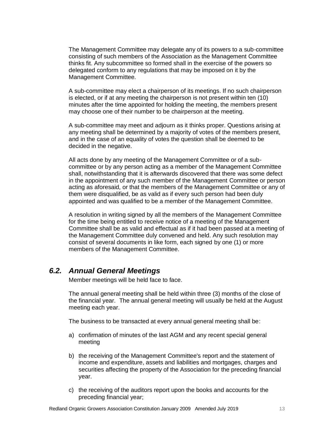The Management Committee may delegate any of its powers to a sub-committee consisting of such members of the Association as the Management Committee thinks fit. Any subcommittee so formed shall in the exercise of the powers so delegated conform to any regulations that may be imposed on it by the Management Committee.

A sub-committee may elect a chairperson of its meetings. If no such chairperson is elected, or if at any meeting the chairperson is not present within ten (10) minutes after the time appointed for holding the meeting, the members present may choose one of their number to be chairperson at the meeting.

A sub-committee may meet and adjourn as it thinks proper. Questions arising at any meeting shall be determined by a majority of votes of the members present, and in the case of an equality of votes the question shall be deemed to be decided in the negative.

All acts done by any meeting of the Management Committee or of a subcommittee or by any person acting as a member of the Management Committee shall, notwithstanding that it is afterwards discovered that there was some defect in the appointment of any such member of the Management Committee or person acting as aforesaid, or that the members of the Management Committee or any of them were disqualified, be as valid as if every such person had been duly appointed and was qualified to be a member of the Management Committee.

A resolution in writing signed by all the members of the Management Committee for the time being entitled to receive notice of a meeting of the Management Committee shall be as valid and effectual as if it had been passed at a meeting of the Management Committee duly convened and held. Any such resolution may consist of several documents in like form, each signed by one (1) or more members of the Management Committee.

#### *6.2. Annual General Meetings*

Member meetings will be held face to face.

The annual general meeting shall be held within three (3) months of the close of the financial year. The annual general meeting will usually be held at the August meeting each year.

The business to be transacted at every annual general meeting shall be:

- a) confirmation of minutes of the last AGM and any recent special general meeting
- b) the receiving of the Management Committee's report and the statement of income and expenditure, assets and liabilities and mortgages, charges and securities affecting the property of the Association for the preceding financial year.
- c) the receiving of the auditors report upon the books and accounts for the preceding financial year;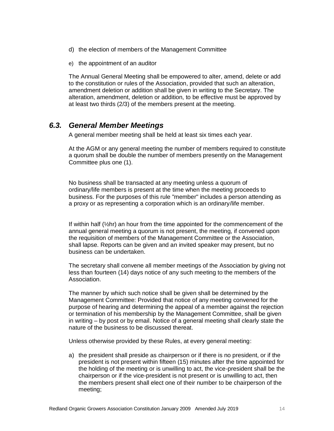- d) the election of members of the Management Committee
- e) the appointment of an auditor

The Annual General Meeting shall be empowered to alter, amend, delete or add to the constitution or rules of the Association, provided that such an alteration, amendment deletion or addition shall be given in writing to the Secretary. The alteration, amendment, deletion or addition, to be effective must be approved by at least two thirds (2/3) of the members present at the meeting.

#### *6.3. General Member Meetings*

A general member meeting shall be held at least six times each year.

At the AGM or any general meeting the number of members required to constitute a quorum shall be double the number of members presently on the Management Committee plus one (1).

No business shall be transacted at any meeting unless a quorum of ordinary/life members is present at the time when the meeting proceeds to business. For the purposes of this rule "member" includes a person attending as a proxy or as representing a corporation which is an ordinary/life member.

If within half  $(\frac{1}{2}hr)$  an hour from the time appointed for the commencement of the annual general meeting a quorum is not present, the meeting, if convened upon the requisition of members of the Management Committee or the Association, shall lapse. Reports can be given and an invited speaker may present, but no business can be undertaken.

The secretary shall convene all member meetings of the Association by giving not less than fourteen (14) days notice of any such meeting to the members of the Association.

The manner by which such notice shall be given shall be determined by the Management Committee: Provided that notice of any meeting convened for the purpose of hearing and determining the appeal of a member against the rejection or termination of his membership by the Management Committee, shall be given in writing – by post or by email. Notice of a general meeting shall clearly state the nature of the business to be discussed thereat.

Unless otherwise provided by these Rules, at every general meeting:

a) the president shall preside as chairperson or if there is no president, or if the president is not present within fifteen (15) minutes after the time appointed for the holding of the meeting or is unwilling to act, the vice-president shall be the chairperson or if the vice-president is not present or is unwilling to act, then the members present shall elect one of their number to be chairperson of the meeting;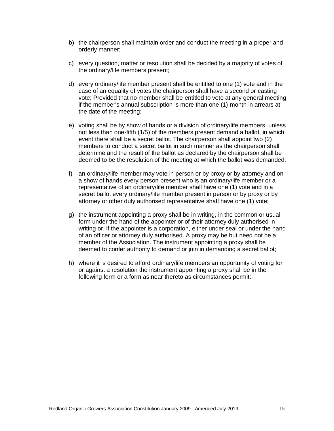- b) the chairperson shall maintain order and conduct the meeting in a proper and orderly manner;
- c) every question, matter or resolution shall be decided by a majority of votes of the ordinary/life members present;
- d) every ordinary/life member present shall be entitled to one (1) vote and in the case of an equality of votes the chairperson shall have a second or casting vote: Provided that no member shall be entitled to vote at any general meeting if the member's annual subscription is more than one (1) month in arrears at the date of the meeting;
- e) voting shall be by show of hands or a division of ordinary/life members, unless not less than one-fifth (1/5) of the members present demand a ballot, in which event there shall be a secret ballot. The chairperson shall appoint two (2) members to conduct a secret ballot in such manner as the chairperson shall determine and the result of the ballot as declared by the chairperson shall be deemed to be the resolution of the meeting at which the ballot was demanded;
- f) an ordinary/life member may vote in person or by proxy or by attorney and on a show of hands every person present who is an ordinary/life member or a representative of an ordinary/life member shall have one (1) vote and in a secret ballot every ordinary/life member present in person or by proxy or by attorney or other duly authorised representative shall have one (1) vote;
- g) the instrument appointing a proxy shall be in writing, in the common or usual form under the hand of the appointer or of their attorney duly authorised in writing or, if the appointer is a corporation, either under seal or under the hand of an officer or attorney duly authorised. A proxy may be but need not be a member of the Association. The instrument appointing a proxy shall be deemed to confer authority to demand or join in demanding a secret ballot;
- h) where it is desired to afford ordinary/life members an opportunity of voting for or against a resolution the instrument appointing a proxy shall be in the following form or a form as near thereto as circumstances permit:-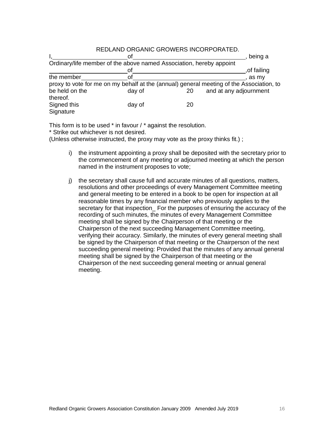|            | <u>REDLAIND URGAINIU GRUIVERS INCURPURATED.</u>                     |                                                                                          |
|------------|---------------------------------------------------------------------|------------------------------------------------------------------------------------------|
|            |                                                                     | , being a                                                                                |
|            | Ordinary/life member of the above named Association, hereby appoint |                                                                                          |
|            | nt                                                                  | of failing                                                                               |
| the member | ΩĪ                                                                  | . as mv                                                                                  |
|            |                                                                     | proxy to vote for me on my behalf at the (annual) general meeting of the Association, to |

be held on the day of 20 and at any adjournment

#### REDLAND ORGANIC GROWERS INCORPORATED.

Signed this day of 20 **Signature** 

This form is to be used \* in favour / \* against the resolution.

\* Strike out whichever is not desired.

thereof.

(Unless otherwise instructed, the proxy may vote as the proxy thinks fit.) ;

- i) the instrument appointing a proxy shall be deposited with the secretary prior to the commencement of any meeting or adjourned meeting at which the person named in the instrument proposes to vote;
- j) the secretary shall cause full and accurate minutes of all questions, matters, resolutions and other proceedings of every Management Committee meeting and general meeting to be entered in a book to be open for inspection at all reasonable times by any financial member who previously applies to the secretary for that inspection\_ For the purposes of ensuring the accuracy of the recording of such minutes, the minutes of every Management Committee meeting shall be signed by the Chairperson of that meeting or the Chairperson of the next succeeding Management Committee meeting, verifying their accuracy. Similarly, the minutes of every general meeting shall be signed by the Chairperson of that meeting or the Chairperson of the next succeeding general meeting: Provided that the minutes of any annual general meeting shall be signed by the Chairperson of that meeting or the Chairperson of the next succeeding general meeting or annual general meeting.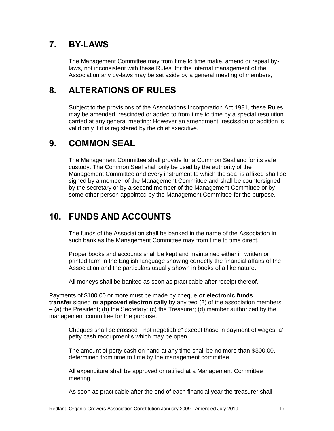# **7. BY-LAWS**

The Management Committee may from time to time make, amend or repeal bylaws, not inconsistent with these Rules, for the internal management of the Association any by-laws may be set aside by a general meeting of members,

### **8. ALTERATIONS OF RULES**

Subject to the provisions of the Associations Incorporation Act 1981, these Rules may be amended, rescinded or added to from time to time by a special resolution carried at any general meeting: However an amendment, rescission or addition is valid only if it is registered by the chief executive.

### **9. COMMON SEAL**

The Management Committee shall provide for a Common Seal and for its safe custody. The Common Seal shall only be used by the authority of the Management Committee and every instrument to which the seal is affixed shall be signed by a member of the Management Committee and shall be countersigned by the secretary or by a second member of the Management Committee or by some other person appointed by the Management Committee for the purpose.

# **10. FUNDS AND ACCOUNTS**

The funds of the Association shall be banked in the name of the Association in such bank as the Management Committee may from time to time direct.

Proper books and accounts shall be kept and maintained either in written or printed farm in the English language showing correctly the financial affairs of the Association and the particulars usually shown in books of a like nature.

All moneys shall be banked as soon as practicable after receipt thereof.

Payments of \$100.00 or more must be made by cheque **or electronic funds transfer** signed **or approved electronically** by any two (2) of the association members – (a) the President; (b) the Secretary; (c) the Treasurer; (d) member authorized by the management committee for the purpose.

Cheques shall be crossed " not negotiable" except those in payment of wages, a' petty cash recoupment's which may be open.

The amount of petty cash on hand at any time shall be no more than \$300.00, determined from time to time by the management committee

All expenditure shall be approved or ratified at a Management Committee meeting.

As soon as practicable after the end of each financial year the treasurer shall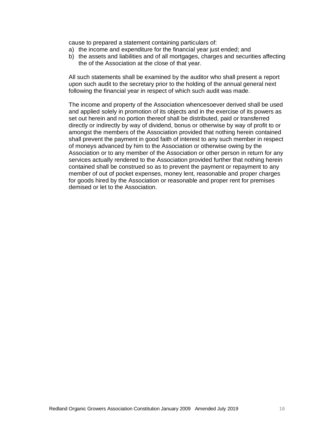cause to prepared a statement containing particulars of:

- a) the income and expenditure for the financial year just ended; and
- b) the assets and liabilities and of all mortgages, charges and securities affecting the of the Association at the close of that year.

All such statements shall be examined by the auditor who shall present a report upon such audit to the secretary prior to the holding of the annual general next following the financial year in respect of which such audit was made.

The income and property of the Association whencesoever derived shall be used and applied solely in promotion of its objects and in the exercise of its powers as set out herein and no portion thereof shall be distributed, paid or transferred directly or indirectly by way of dividend, bonus or otherwise by way of profit to or amongst the members of the Association provided that nothing herein contained shall prevent the payment in good faith of interest to any such member in respect of moneys advanced by him to the Association or otherwise owing by the Association or to any member of the Association or other person in return for any services actually rendered to the Association provided further that nothing herein contained shall be construed so as to prevent the payment or repayment to any member of out of pocket expenses, money lent, reasonable and proper charges for goods hired by the Association or reasonable and proper rent for premises demised or let to the Association.